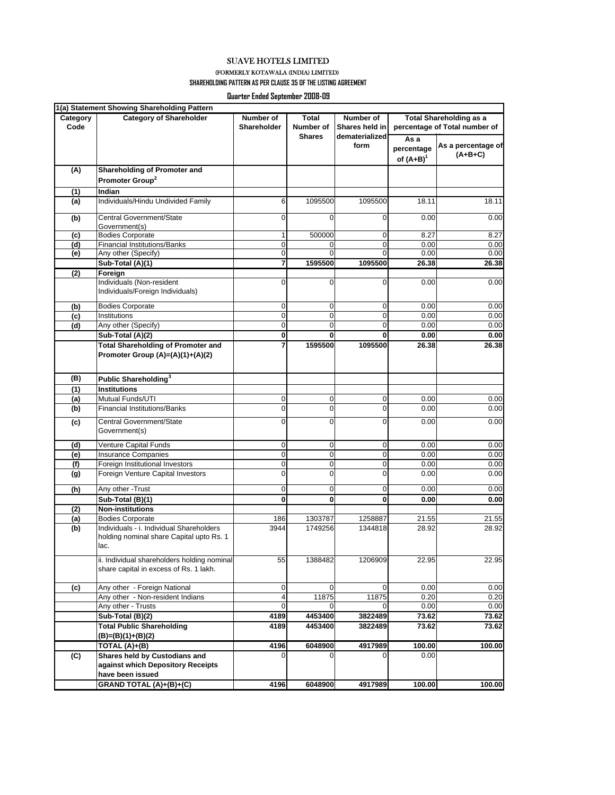SUAVE HOTELS LIMITED

## (FORMERLY KOTAWALA (INDIA) LIMITED)

**SHAREHOLDING PATTERN AS PER CLAUSE 35 OF THE LISTING AGREEMENT**

**Quarter Ended September 2008-09**

| Category<br>Code | <b>Category of Shareholder</b>                                                               | Number of<br>Shareholder | Total<br>Number of<br><b>Shares</b> | Number of<br>Shares held in<br>dematerialized<br>form | <b>Total Shareholding as a</b><br>percentage of Total number of |                                 |  |
|------------------|----------------------------------------------------------------------------------------------|--------------------------|-------------------------------------|-------------------------------------------------------|-----------------------------------------------------------------|---------------------------------|--|
|                  |                                                                                              |                          |                                     |                                                       | As a<br>percentage<br>of $(A+B)^{1}$                            | As a percentage of<br>$(A+B+C)$ |  |
| (A)              | Shareholding of Promoter and                                                                 |                          |                                     |                                                       |                                                                 |                                 |  |
|                  | Promoter Group <sup>2</sup>                                                                  |                          |                                     |                                                       |                                                                 |                                 |  |
| (1)              | Indian                                                                                       |                          |                                     |                                                       |                                                                 |                                 |  |
| (a)              | Individuals/Hindu Undivided Family                                                           | 6                        | 1095500                             | 1095500                                               | 18.11                                                           | 18.11                           |  |
| (b)              | Central Government/State<br>Government(s)                                                    | 0                        | 0                                   | 0                                                     | 0.00                                                            | 0.00                            |  |
| (c)              | <b>Bodies Corporate</b>                                                                      | 1                        | 500000                              | 0                                                     | 8.27                                                            | 8.27                            |  |
| (d)              | <b>Financial Institutions/Banks</b>                                                          | 0                        | 0                                   | 0                                                     | 0.00                                                            | 0.00                            |  |
| (e)              | Any other (Specify)                                                                          | 0                        | 0                                   | 0                                                     | 0.00                                                            | 0.00                            |  |
|                  | Sub-Total (A)(1)                                                                             | 7                        | 1595500                             | 1095500                                               | 26.38                                                           | 26.38                           |  |
| (2)              | Foreign                                                                                      |                          |                                     |                                                       |                                                                 |                                 |  |
|                  | Individuals (Non-resident<br>Individuals/Foreign Individuals)                                | 0                        | 0                                   | $\Omega$                                              | 0.00                                                            | 0.00                            |  |
| (b)              | <b>Bodies Corporate</b>                                                                      | 0                        | 0                                   | 0                                                     | 0.00                                                            | 0.00                            |  |
| (c)              | Institutions                                                                                 | 0                        | 0                                   | $\mathbf 0$                                           | 0.00                                                            | 0.00                            |  |
| (d)              | Any other (Specify)                                                                          | $\overline{0}$           | $\overline{0}$                      | 0                                                     | 0.00                                                            | 0.00                            |  |
|                  | Sub-Total (A)(2)                                                                             | $\overline{\mathbf{0}}$  | 0                                   | 0                                                     | 0.00                                                            | 0.00                            |  |
|                  | <b>Total Shareholding of Promoter and</b><br>Promoter Group (A)=(A)(1)+(A)(2)                | 7                        | 1595500                             | 1095500                                               | 26.38                                                           | 26.38                           |  |
| (B)              | Public Shareholding <sup>3</sup>                                                             |                          |                                     |                                                       |                                                                 |                                 |  |
| (1)              | <b>Institutions</b>                                                                          |                          |                                     |                                                       |                                                                 |                                 |  |
| (a)              | Mutual Funds/UTI                                                                             | 0                        | 0                                   | $\mathbf 0$                                           | 0.00                                                            | 0.00                            |  |
| (b)              | <b>Financial Institutions/Banks</b>                                                          | $\mathbf 0$              | 0                                   | 0                                                     | 0.00                                                            | 0.00                            |  |
| (c)              | Central Government/State<br>Government(s)                                                    | 0                        | 0                                   | 0                                                     | 0.00                                                            | 0.00                            |  |
| (d)              | Venture Capital Funds                                                                        | 0                        | 0                                   | 0                                                     | 0.00                                                            | 0.00                            |  |
| (e)              | <b>Insurance Companies</b>                                                                   | $\mathbf 0$              | 0                                   | $\mathbf 0$                                           | 0.00                                                            | 0.00                            |  |
| (f)              | Foreign Institutional Investors                                                              | $\overline{0}$           | 0                                   | 0                                                     | 0.00                                                            | 0.00                            |  |
| (g)              | Foreign Venture Capital Investors                                                            | 0                        | 0                                   | 0                                                     | 0.00                                                            | 0.00                            |  |
| (h)              | Any other - Trust                                                                            | 0                        | 0                                   | 0                                                     | 0.00                                                            | 0.00                            |  |
|                  | Sub-Total (B)(1)                                                                             | 0                        | $\mathbf{0}$                        | $\mathbf 0$                                           | 0.00                                                            | 0.00                            |  |
| (2)              | <b>Non-institutions</b>                                                                      |                          |                                     |                                                       |                                                                 |                                 |  |
| (a)              | <b>Bodies Corporate</b>                                                                      | 186                      | 1303787                             | 1258887                                               | 21.55                                                           | 21.55                           |  |
| (b)              | Individuals - i. Individual Shareholders<br>holding nominal share Capital upto Rs. 1<br>lac. | 3944                     | 1749256                             | 1344818                                               | 28.92                                                           | 28.92                           |  |
|                  | ii. Individual shareholders holding nominal<br>share capital in excess of Rs. 1 lakh.        | 55                       | 1388482                             | 1206909                                               | 22.95                                                           | 22.95                           |  |
| (c)              | Any other - Foreign National                                                                 | $\mathbf 0$              | $\mathbf 0$                         | 0                                                     | 0.00                                                            | 0.00                            |  |
|                  | Any other - Non-resident Indians                                                             | 4                        | 11875                               | 11875                                                 | 0.20                                                            | 0.20                            |  |
|                  | Any other - Trusts                                                                           | 0                        | 0                                   | 0                                                     | 0.00                                                            | 0.00                            |  |
|                  | Sub-Total (B)(2)                                                                             | 4189                     | 4453400                             | 3822489                                               | 73.62                                                           | 73.62                           |  |
|                  | <b>Total Public Shareholding</b><br>(B)=(B)(1)+(B)(2)                                        | 4189                     | 4453400                             | 3822489                                               | 73.62                                                           | 73.62                           |  |
|                  | TOTAL (A)+(B)                                                                                | 4196                     | 6048900                             | 4917989                                               | 100.00                                                          | 100.00                          |  |
| (C)              | Shares held by Custodians and<br>against which Depository Receipts                           | 0                        | 0                                   |                                                       | 0.00                                                            |                                 |  |
|                  | have been issued                                                                             |                          |                                     |                                                       |                                                                 |                                 |  |
|                  | GRAND TOTAL (A)+(B)+(C)                                                                      | 4196                     | 6048900                             | 4917989                                               | 100.00                                                          | 100.00                          |  |